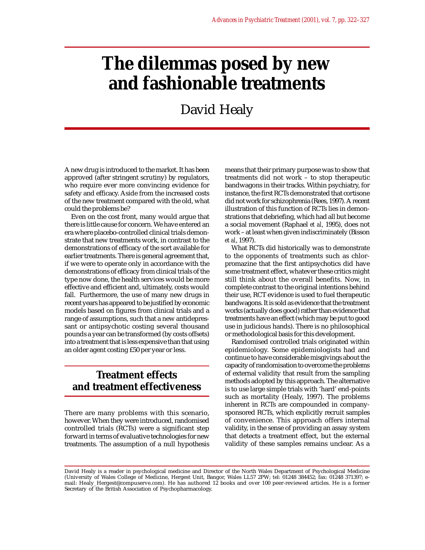# **The dilemmas posed by new and fashionable treatments**

## David Healy

A new drug is introduced to the market. It has been approved (after stringent scrutiny) by regulators, who require ever more convincing evidence for safety and efficacy. Aside from the increased costs of the new treatment compared with the old, what could the problems be?

Even on the cost front, many would argue that there is little cause for concern. We have entered an era where placebo-controlled clinical trials demonstrate that new treatments work, in contrast to the demonstrations of efficacy of the sort available for earlier treatments. There is general agreement that, if we were to operate only in accordance with the demonstrations of efficacy from clinical trials of the type now done, the health services would be more effective and efficient and, ultimately, costs would fall. Furthermore, the use of many new drugs in recent years has appeared to be justified by economic models based on figures from clinical trials and a range of assumptions, such that a new antidepressant or antipsychotic costing several thousand pounds a year can be transformed (by costs offsets) into a treatment that is less expensive than that using an older agent costing £50 per year or less.

## **Treatment effects and treatment effectiveness**

There are many problems with this scenario, however. When they were introduced, randomised controlled trials (RCTs) were a significant step forward in terms of evaluative technologies for new treatments. The assumption of a null hypothesis

means that their primary purpose was to show that treatments did not work – to stop therapeutic bandwagons in their tracks. Within psychiatry, for instance, the first RCTs demonstrated that cortisone did not work for schizophrenia (Rees, 1997). A recent illustration of this function of RCTs lies in demonstrations that debriefing, which had all but become a social movement (Raphael *et al*, 1995), does not work – at least when given indiscriminately (Bisson *et al*, 1997).

What RCTs did historically was to demonstrate to the opponents of treatments such as chlorpromazine that the first antipsychotics did have some treatment effect, whatever these critics might still think about the overall benefits. Now, in complete contrast to the original intentions behind their use, RCT evidence is used to fuel therapeutic bandwagons. It is sold as evidence that the treatment works (actually does good) rather than evidence that treatments have an effect (which may be put to good use in judicious hands). There is no philosophical or methodological basis for this development.

Randomised controlled trials originated within epidemiology. Some epidemiologists had and continue to have considerable misgivings about the capacity of randomisation to overcome the problems of external validity that result from the sampling methods adopted by this approach. The alternative is to use large simple trials with 'hard' end-points such as mortality (Healy, 1997). The problems inherent in RCTs are compounded in companysponsored RCTs, which explicitly recruit samples of convenience. This approach offers internal validity, in the sense of providing an assay system that detects a treatment effect, but the external validity of these samples remains unclear. As a

David Healy is a reader in psychological medicine and Director of the North Wales Department of Psychological Medicine (University of Wales College of Medicine, Hergest Unit, Bangor, Wales LL57 2PW; tel: 01248 384452; fax: 01248 371397; email: Healy\_Hergest@compuserve.com). He has authored 12 books and over 100 peer-reviewed articles. He is a former Secretary of the British Association of Psychopharmacology.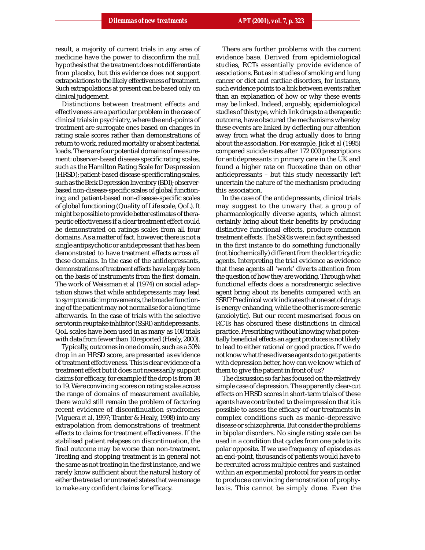result, a majority of current trials in any area of medicine have the power to disconfirm the null hypothesis that the treatment does not differentiate from placebo, but this evidence does not support extrapolations to the likely effectiveness of treatment. Such extrapolations at present can be based only on clinical judgement.

Distinctions between treatment effects and effectiveness are a particular problem in the case of clinical trials in psychiatry, where the end-points of treatment are surrogate ones based on changes in rating scale scores rather than demonstrations of return to work, reduced mortality or absent bacterial loads. There are four potential domains of measurement: observer-based disease-specific rating scales, such as the Hamilton Rating Scale for Despression (HRSD); patient-based disease-specific rating scales, such as the Beck Depression Inventory (BDI); observerbased non-disease-specific scales of global functioning; and patient-based non-disease-specific scales of global functioning (Quality of Life scale, QoL). It might be possible to provide better estimates of therapeutic effectiveness if a clear treatment effect could be demonstrated on ratings scales from all four domains. As a matter of fact, however, there is not a single antipsychotic or antidepressant that has been demonstrated to have treatment effects across all these domains. In the case of the antidepressants, demonstrations of treatment effects have largely been on the basis of instruments from the first domain. The work of Weissman *et al* (1974) on social adaptation shows that while antidepressants may lead to symptomatic improvements, the broader functioning of the patient may not normalise for a long time afterwards. In the case of trials with the selective serotonin reuptake inhibitor (SSRI) antidepressants, QoL scales have been used in as many as 100 trials with data from fewer than 10 reported (Healy, 2000).

Typically, outcomes in one domain, such as a 50% drop in an HRSD score, are presented as evidence of treatment effectiveness. This is clear evidence of a treatment effect but it does not necessarily support claims for efficacy, for example if the drop is from 38 to 19. Were convincing scores on rating scales across the range of domains of measurement available, there would still remain the problem of factoring recent evidence of discontinuation syndromes (Viguera *et al*, 1997; Tranter & Healy, 1998) into any extrapolation from demonstrations of treatment effects to claims for treatment effectiveness. If the stabilised patient relapses on discontinuation, the final outcome may be worse than non-treatment. Treating and stopping treatment is in general not the same as not treating in the first instance, and we rarely know sufficient about the natural history of either the treated or untreated states that we manage to make any confident claims for efficacy.

There are further problems with the current evidence base. Derived from epidemiological studies, RCTs essentially provide evidence of associations. But as in studies of smoking and lung cancer or diet and cardiac disorders, for instance, such evidence points to a link between events rather than an explanation of how or why these events may be linked. Indeed, arguably, epidemiological studies of this type, which link drugs to a therapeutic outcome, have obscured the mechanisms whereby these events are linked by deflecting our attention away from what the drug actually does to bring about the association. For example, Jick *et al* (1995) compared suicide rates after 172 000 prescriptions for antidepressants in primary care in the UK and found a higher rate on fluoxetine than on other antidepressants – but this study necessarily left uncertain the nature of the mechanism producing this association.

In the case of the antidepressants, clinical trials may suggest to the unwary that a group of pharmacologically diverse agents, which almost certainly bring about their benefits by producing distinctive functional effects, produce common treatment effects. The SSRIs were in fact synthesised in the first instance to do something functionally (not biochemically) different from the older tricyclic agents. Interpreting the trial evidence as evidence that these agents all 'work' diverts attention from the question of how they are working. Through what functional effects does a noradrenergic selective agent bring about its benefits compared with an SSRI? Preclinical work indicates that one set of drugs is energy enhancing, while the other is more serenic (anxiolytic). But our recent mesmerised focus on RCTs has obscured these distinctions in clinical practice. Prescribing without knowing what potentially beneficial effects an agent produces is not likely to lead to either rational or good practice. If we do not know what these diverse agents do to get patients with depression better, how can we know which of them to give the patient in front of us?

The discussion so far has focused on the relatively simple case of depression. The apparently clear-cut effects on HRSD scores in short-term trials of these agents have contributed to the impression that it is possible to assess the efficacy of our treatments in complex conditions such as manic–depressive disease or schizophrenia. But consider the problems in bipolar disorders. No single rating scale can be used in a condition that cycles from one pole to its polar opposite. If we use frequency of episodes as an end-point, thousands of patients would have to be recruited across multiple centres and sustained within an experimental protocol for years in order to produce a convincing demonstration of prophylaxis. This cannot be simply done. Even the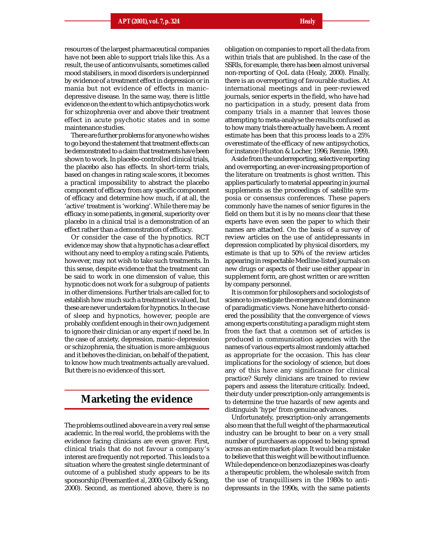resources of the largest pharmaceutical companies have not been able to support trials like this. As a result, the use of anticonvulsants, sometimes called mood stabilisers, in mood disorders is underpinned by evidence of a treatment effect in depression or in mania but not evidence of effects in manic– depressive disease. In the same way, there is little evidence on the extent to which antipsychotics work for schizophrenia over and above their treatment effect in acute psychotic states and in some maintenance studies.

There are further problems for anyone who wishes to go beyond the statement that treatment effects can be demonstrated to a claim that treatments have been shown to work. In placebo-controlled clinical trials, the placebo also has effects. In short-term trials, based on changes in rating scale scores, it becomes a practical impossibility to abstract the placebo component of efficacy from any specific component of efficacy and determine how much, if at all, the 'active' treatment is 'working'. While there may be efficacy in some patients, in general, superiority over placebo in a clinical trial is a demonstration of an effect rather than a demonstration of efficacy.

Or consider the case of the hypnotics. RCT evidence may show that a hypnotic has a clear effect without any need to employ a rating scale. Patients, however, may not wish to take such treatments. In this sense, despite evidence that the treatment can be said to work in one dimension of value, this hypnotic does not work for a subgroup of patients in other dimensions. Further trials are called for, to establish how much such a treatment is valued, but these are never undertaken for hypnotics. In the case of sleep and hypnotics, however, people are probably confident enough in their own judgement to ignore their clinician or any expert if need be. In the case of anxiety, depression, manic–depression or schizophrenia, the situation is more ambiguous and it behoves the clinician, on behalf of the patient, to know how much treatments actually are valued. But there is no evidence of this sort.

#### **Marketing the evidence**

The problems outlined above are in a very real sense academic. In the real world, the problems with the evidence facing clinicians are even graver. First, clinical trials that do not favour a company's interest are frequently not reported. This leads to a situation where the greatest single determinant of outcome of a published study appears to be its sponsorship (Freemantle *et al*, 2000; Gilbody & Song, 2000). Second, as mentioned above, there is no

obligation on companies to report all the data from within trials that are published. In the case of the SSRIs, for example, there has been almost universal non-reporting of QoL data (Healy, 2000). Finally, there is an overreporting of favourable studies. At international meetings and in peer-reviewed journals, senior experts in the field, who have had no participation in a study, present data from company trials in a manner that leaves those attempting to meta-analyse the results confused as to how many trials there actually have been. A recent estimate has been that this process leads to a 25% overestimate of the efficacy of new antipsychotics, for instance (Huston & Locher, 1996; Rennie, 1999).

Aside from the underreporting, selective reporting and overreporting, an ever-increasing proportion of the literature on treatments is ghost written. This applies particularly to material appearing in journal supplements as the proceedings of satellite symposia or consensus conferences. These papers commonly have the names of senior figures in the field on them but it is by no means clear that these experts have even seen the paper to which their names are attached. On the basis of a survey of review articles on the use of antidepressants in depression complicated by physical disorders, my estimate is that up to 50% of the review articles appearing in respectable Medline-listed journals on new drugs or aspects of their use either appear in supplement form, are ghost written or are written by company personnel.

It is common for philosophers and sociologists of science to investigate the emergence and dominance of paradigmatic views. None have hitherto considered the possibility that the convergence of views among experts constituting a paradigm might stem from the fact that a common set of articles is produced in communication agencies with the names of various experts almost randomly attached as appropriate for the occasion. This has clear implications for the sociology of science, but does any of this have any significance for clinical practice? Surely clinicians are trained to review papers and assess the literature critically. Indeed, their duty under prescription-only arrangements is to determine the true hazards of new agents and distinguish 'hype' from genuine advances.

Unfortunately, prescription-only arrangements also mean that the full weight of the pharmaceutical industry can be brought to bear on a very small number of purchasers as opposed to being spread across an entire market-place. It would be a mistake to believe that this weight will be without influence. While dependence on benzodiazepines was clearly a therapeutic problem, the wholesale switch from the use of tranquillisers in the 1980s to antidepressants in the 1990s, with the same patients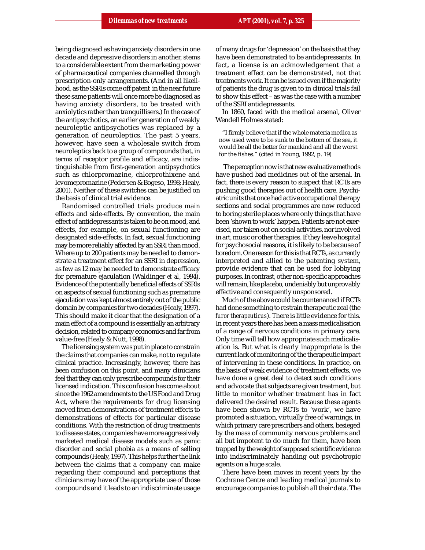being diagnosed as having anxiety disorders in one decade and depressive disorders in another, stems to a considerable extent from the marketing power of pharmaceutical companies channelled through prescription-only arrangements. (And in all likelihood, as the SSRIs come off patent in the near future these same patients will once more be diagnosed as having anxiety disorders, to be treated with anxiolytics rather than tranquillisers.) In the case of the antipsychotics, an earlier generation of weakly neuroleptic antipsychotics was replaced by a generation of neuroleptics. The past 5 years, however, have seen a wholesale switch from neuroleptics back to a group of compounds that, in terms of receptor profile and efficacy, are indistinguishable from first-generation antipsychotics such as chlorpromazine, chlorprothixene and levomepromazine (Pedersen & Bogeso, 1998; Healy, 2001). Neither of these switches can be justified on the basis of clinical trial evidence.

Randomised controlled trials produce main effects and side-effects. By convention, the main effect of antidepressants is taken to be on mood, and effects, for example, on sexual functioning are designated side-effects. In fact, sexual functioning may be more reliably affected by an SSRI than mood. Where up to 200 patients may be needed to demonstrate a treatment effect for an SSRI in depression, as few as 12 may be needed to demonstrate efficacy for premature ejaculation (Waldinger *et al*, 1994). Evidence of the potentially beneficial effects of SSRIs on aspects of sexual functioning such as premature ejaculation was kept almost entirely out of the public domain by companies for two decades (Healy, 1997). This should make it clear that the designation of a main effect of a compound is essentially an arbitrary decision, related to company economics and far from value-free (Healy & Nutt, 1998).

The licensing system was put in place to constrain the claims that companies can make, not to regulate clinical practice. Increasingly, however, there has been confusion on this point, and many clinicians feel that they can only prescribe compounds for their licensed indication. This confusion has come about since the 1962 amendments to the US Food and Drug Act, where the requirements for drug licensing moved from demonstrations of treatment effects to demonstrations of effects for particular disease conditions. With the restriction of drug treatments to disease states, companies have more aggressively marketed medical disease models such as panic disorder and social phobia as a means of selling compounds (Healy, 1997). This helps further the link between the claims that a company can make regarding their compound and perceptions that clinicians may have of the appropriate use of those compounds and it leads to an indiscriminate usage

of many drugs for 'depression' on the basis that they have been demonstrated to be antidepressants. In fact, a license is an acknowledgement that a treatment effect can be demonstrated, not that treatments work. It can be issued even if the majority of patients the drug is given to in clinical trials fail to show this effect – as was the case with a number of the SSRI antidepressants.

In 1860, faced with the medical arsenal, Oliver Wendell Holmes stated:

"I firmly believe that if the whole materia medica as now used were to be sunk to the bottom of the sea, it would be all the better for mankind and all the worst for the fishes." (cited in Young, 1992, p. 19)

 The perception now is that new evaluative methods have pushed bad medicines out of the arsenal. In fact, there is every reason to suspect that RCTs are pushing good therapies out of health care. Psychiatric units that once had active occupational therapy sections and social programmes are now reduced to boring sterile places where only things that have been 'shown to work' happen. Patients are not exercised, nor taken out on social activities, nor involved in art, music or other therapies. If they leave hospital for psychosocial reasons, it is likely to be because of boredom. One reason for this is that RCTs, as currently interpreted and allied to the patenting system, provide evidence that can be used for lobbying purposes. In contrast, other non-specific approaches will remain, like placebo, undeniably but unprovably effective and consequently unsponsored.

Much of the above could be countenanced if RCTs had done something to restrain therapeutic zeal (the *furor therapeuticus*). There is little evidence for this. In recent years there has been a mass medicalisation of a range of nervous conditions in primary care. Only time will tell how appropriate such medicalisation is. But what is clearly inappropriate is the current lack of monitoring of the therapeutic impact of intervening in these conditions. In practice, on the basis of weak evidence of treatment effects, we have done a great deal to detect such conditions and advocate that subjects are given treatment, but little to monitor whether treatment has in fact delivered the desired result. Because these agents have been shown by RCTs to 'work', we have promoted a situation, virtually free of warnings, in which primary care prescribers and others, besieged by the mass of community nervous problems and all but impotent to do much for them, have been trapped by the weight of supposed scientific evidence into indiscriminately handing out psychotropic agents on a huge scale.

There have been moves in recent years by the Cochrane Centre and leading medical journals to encourage companies to publish all their data. The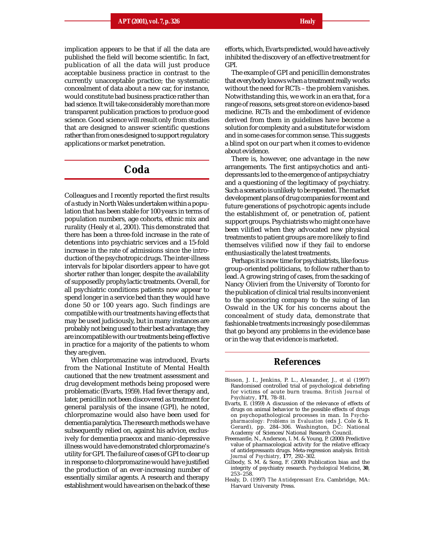implication appears to be that if all the data are published the field will become scientific. In fact, publication of all the data will just produce acceptable business practice in contrast to the currently unacceptable practice; the systematic concealment of data about a new car, for instance, would constitute bad business practice rather than bad science. It will take considerably more than more transparent publication practices to produce good science. Good science will result only from studies that are designed to answer scientific questions rather than from ones designed to support regulatory applications or market penetration.

#### **Coda**

Colleagues and I recently reported the first results of a study in North Wales undertaken within a population that has been stable for 100 years in terms of population numbers, age cohorts, ethnic mix and rurality (Healy *et al*, 2001). This demonstrated that there has been a three-fold increase in the rate of detentions into psychiatric services and a 15-fold increase in the rate of admissions since the introduction of the psychotropic drugs. The inter-illness intervals for bipolar disorders appear to have got shorter rather than longer, despite the availability of supposedly prophylactic treatments. Overall, for all psychiatric conditions patients now appear to spend longer in a service bed than they would have done 50 or 100 years ago. Such findings are compatible with our treatments having effects that may be used judiciously, but in many instances are probably not being used to their best advantage; they are incompatible with our treatments being effective in practice for a majority of the patients to whom they are given.

When chlorpromazine was introduced, Evarts from the National Institute of Mental Health cautioned that the new treatment assessment and drug development methods being proposed were problematic (Evarts, 1959). Had fever therapy and, later, penicillin not been discovered as treatment for general paralysis of the insane (GPI), he noted, chlorpromazine would also have been used for dementia paralytica. The research methods we have subsequently relied on, against his advice, exclusively for dementia praecox and manic–depressive illness would have demonstrated chlorpromazine's utility for GPI. The failure of cases of GPI to clear up in response to chlorpromazine would have justified the production of an ever-increasing number of essentially similar agents. A research and therapy establishment would have arisen on the back of these

efforts, which, Evarts predicted, would have actively inhibited the discovery of an effective treatment for GPI.

The example of GPI and penicillin demonstrates that everybody knows when a treatment really works without the need for RCTs – the problem vanishes. Notwithstanding this, we work in an era that, for a range of reasons, sets great store on evidence-based medicine. RCTs and the embodiment of evidence derived from them in guidelines have become a solution for complexity and a substitute for wisdom and in some cases for common sense. This suggests a blind spot on our part when it comes to evidence about evidence.

There is, however, one advantage in the new arrangements. The first antipsychotics and antidepressants led to the emergence of antipsychiatry and a questioning of the legitimacy of psychiatry. Such a scenario is unlikely to be repeated. The market development plans of drug companies for recent and future generations of psychotropic agents include the establishment of, or penetration of, patient support groups. Psychiatrists who might once have been vilified when they advocated new physical treatments to patient groups are more likely to find themselves vilified now if they fail to endorse enthusiastically the latest treatments.

Perhaps it is now time for psychiatrists, like focusgroup-oriented politicians, to follow rather than to lead. A growing string of cases, from the sacking of Nancy Olivieri from the University of Toronto for the publication of clinical trial results inconvenient to the sponsoring company to the suing of Ian Oswald in the UK for his concerns about the concealment of study data, demonstrate that fashionable treatments increasingly pose dilemmas that go beyond any problems in the evidence base or in the way that evidence is marketed.

#### **References**

- Bisson, J. I., Jenkins, P. L., Alexander, J., *et al* (1997) Randomised controlled trial of psychological debriefing for victims of acute burn trauma. *British Journal of Psychiatry*, **171**, 78–81.
- Evarts, E. (1959) A discussion of the relevance of effects of drugs on animal behavior to the possible effects of drugs on psychopathological processes in man. In *Psychopharmacology: Problems in Evaluation* (eds J. Cole & R. Gerard), pp. 284–306. Washington, DC: National Academy of Sciences/National Research Council.
- Freemantle, N., Anderson, I. M. & Young, P. (2000) Predictive value of pharmacological activity for the relative efficacy of antidepressants drugs. Meta-regression analysis. *British Journal of Psychiatry*, **177**, 292–302.
- Gilbody, S. M. & Song, F. (2000) Publication bias and the integrity of psychiatry research. *Psychological Medicine*, **30**, 253–258.
- Healy, D. (1997) *The Antidepressant Era*. Cambridge, MA: Harvard University Press.